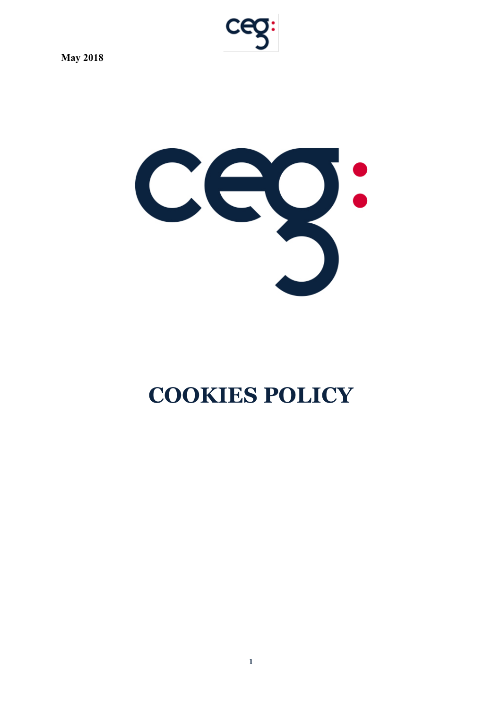

# **COOKIES POLICY**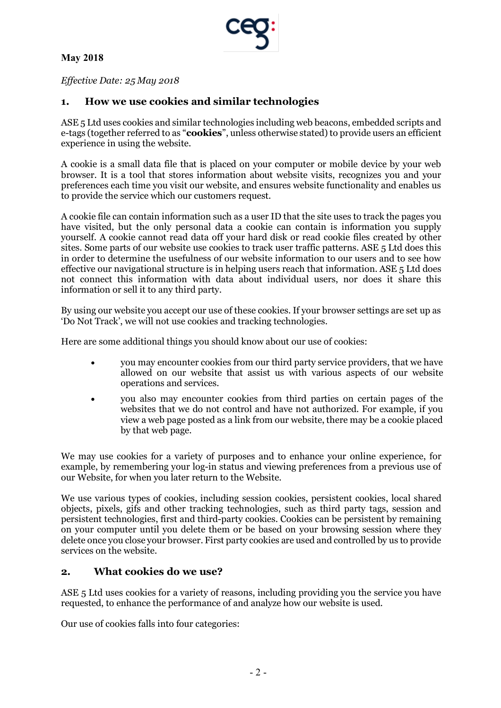

*Effective Date: 25 May 2018*

# **1. How we use cookies and similar technologies**

ASE 5 Ltd uses cookies and similar technologies including web beacons, embedded scripts and e-tags (together referred to as "**cookies**", unless otherwise stated) to provide users an efficient experience in using the website.

A cookie is a small data file that is placed on your computer or mobile device by your web browser. It is a tool that stores information about website visits, recognizes you and your preferences each time you visit our website, and ensures website functionality and enables us to provide the service which our customers request.

A cookie file can contain information such as a user ID that the site uses to track the pages you have visited, but the only personal data a cookie can contain is information you supply yourself. A cookie cannot read data off your hard disk or read cookie files created by other sites. Some parts of our website use cookies to track user traffic patterns. ASE 5 Ltd does this in order to determine the usefulness of our website information to our users and to see how effective our navigational structure is in helping users reach that information. ASE 5 Ltd does not connect this information with data about individual users, nor does it share this information or sell it to any third party.

By using our website you accept our use of these cookies. If your browser settings are set up as 'Do Not Track', we will not use cookies and tracking technologies.

Here are some additional things you should know about our use of cookies:

- you may encounter cookies from our third party service providers, that we have allowed on our website that assist us with various aspects of our website operations and services.
- you also may encounter cookies from third parties on certain pages of the websites that we do not control and have not authorized. For example, if you view a web page posted as a link from our website, there may be a cookie placed by that web page.

We may use cookies for a variety of purposes and to enhance your online experience, for example, by remembering your log-in status and viewing preferences from a previous use of our Website, for when you later return to the Website.

We use various types of cookies, including session cookies, persistent cookies, local shared objects, pixels, gifs and other tracking technologies, such as third party tags, session and persistent technologies, first and third-party cookies. Cookies can be persistent by remaining on your computer until you delete them or be based on your browsing session where they delete once you close your browser. First party cookies are used and controlled by us to provide services on the website.

# **2. What cookies do we use?**

ASE 5 Ltd uses cookies for a variety of reasons, including providing you the service you have requested, to enhance the performance of and analyze how our website is used.

Our use of cookies falls into four categories: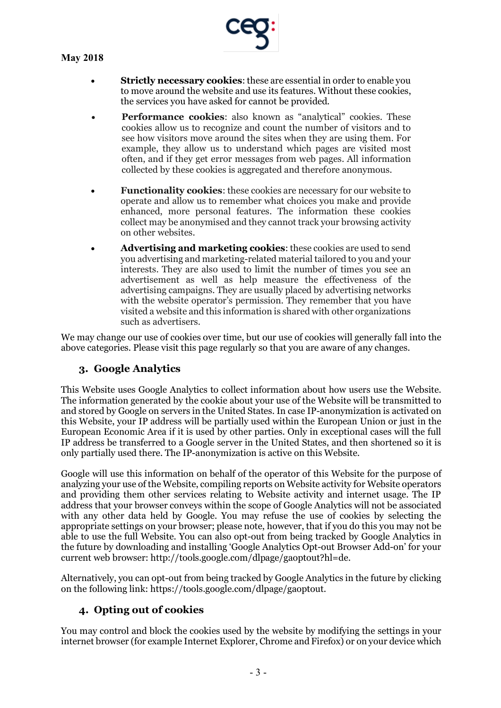- **Strictly necessary cookies**: these are essential in order to enable you to move around the website and use its features. Without these cookies, the services you have asked for cannot be provided.
- **Performance cookies:** also known as "analytical" cookies. These cookies allow us to recognize and count the number of visitors and to see how visitors move around the sites when they are using them. For example, they allow us to understand which pages are visited most often, and if they get error messages from web pages. All information collected by these cookies is aggregated and therefore anonymous.
- **Functionality cookies**: these cookies are necessary for our website to operate and allow us to remember what choices you make and provide enhanced, more personal features. The information these cookies collect may be anonymised and they cannot track your browsing activity on other websites.
- **Advertising and marketing cookies**: these cookies are used to send you advertising and marketing-related material tailored to you and your interests. They are also used to limit the number of times you see an advertisement as well as help measure the effectiveness of the advertising campaigns. They are usually placed by advertising networks with the website operator's permission. They remember that you have visited a website and this information is shared with other organizations such as advertisers.

We may change our use of cookies over time, but our use of cookies will generally fall into the above categories. Please visit this page regularly so that you are aware of any changes.

# **3. Google Analytics**

This Website uses Google Analytics to collect information about how users use the Website. The information generated by the cookie about your use of the Website will be transmitted to and stored by Google on servers in the United States. In case IP-anonymization is activated on this Website, your IP address will be partially used within the European Union or just in the European Economic Area if it is used by other parties. Only in exceptional cases will the full IP address be transferred to a Google server in the United States, and then shortened so it is only partially used there. The IP-anonymization is active on this Website.

Google will use this information on behalf of the operator of this Website for the purpose of analyzing your use of the Website, compiling reports on Website activity for Website operators and providing them other services relating to Website activity and internet usage. The IP address that your browser conveys within the scope of Google Analytics will not be associated with any other data held by Google. You may refuse the use of cookies by selecting the appropriate settings on your browser; please note, however, that if you do this you may not be able to use the full Website. You can also opt-out from being tracked by Google Analytics in the future by downloading and installing 'Google Analytics Opt-out Browser Add-on' for your current web browser: http://tools.google.com/dlpage/gaoptout?hl=de.

Alternatively, you can opt-out from being tracked by Google Analytics in the future by clicking on the following link: https://tools.google.com/dlpage/gaoptout.

# **4. Opting out of cookies**

You may control and block the cookies used by the website by modifying the settings in your internet browser (for example Internet Explorer, Chrome and Firefox) or on your device which